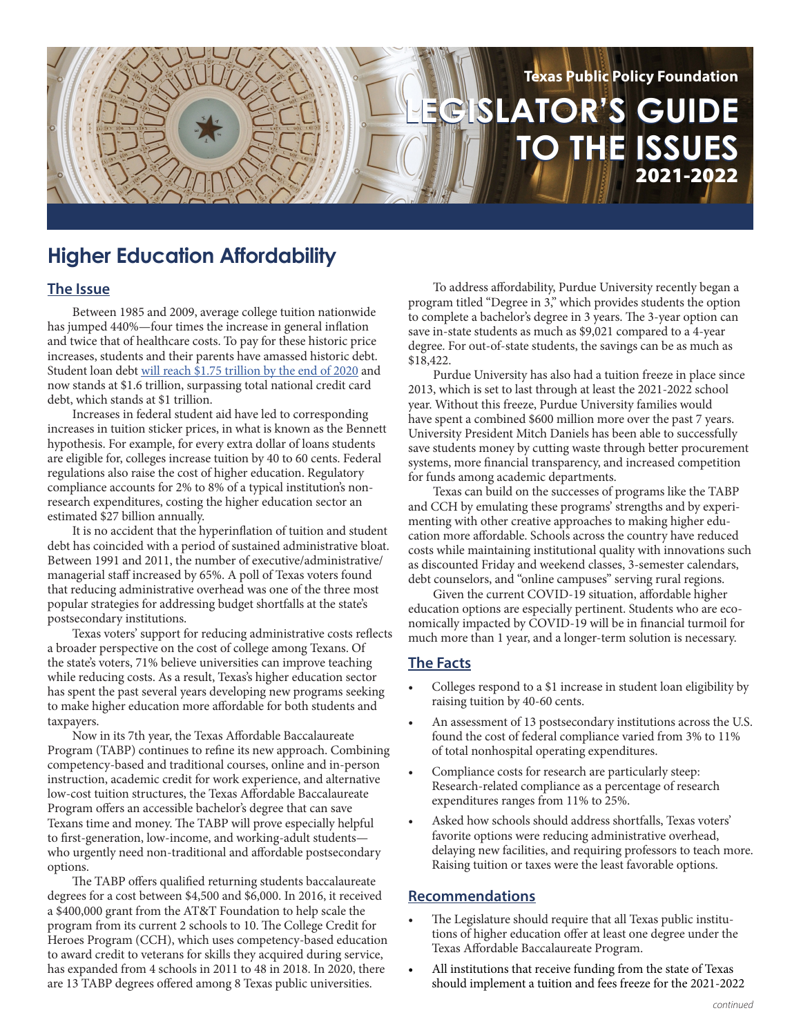# **LEGISLATOR'S GUIDE LEGISLATOR'S GUIDE TO THE ISSUES TO THE ISSUES Texas Public Policy Foundation** 2021-2022

## **Higher Education Affordability**

### **The Issue**

Between 1985 and 2009, average college tuition nationwide has jumped 440%—four times the increase in general inflation and twice that of healthcare costs. To pay for these historic price increases, students and their parents have amassed historic debt. Student loan debt [will reach \\$1.75 trillion by the end of 2020](https://studentloanhero.com/student-loan-debt-clock/) and now stands at \$1.6 trillion, surpassing total national credit card debt, which stands at \$1 trillion.

Increases in federal student aid have led to corresponding increases in tuition sticker prices, in what is known as the Bennett hypothesis. For example, for every extra dollar of loans students are eligible for, colleges increase tuition by 40 to 60 cents. Federal regulations also raise the cost of higher education. Regulatory compliance accounts for 2% to 8% of a typical institution's nonresearch expenditures, costing the higher education sector an estimated \$27 billion annually.

It is no accident that the hyperinflation of tuition and student debt has coincided with a period of sustained administrative bloat. Between 1991 and 2011, the number of executive/administrative/ managerial staff increased by 65%. A poll of Texas voters found that reducing administrative overhead was one of the three most popular strategies for addressing budget shortfalls at the state's postsecondary institutions.

Texas voters' support for reducing administrative costs reflects a broader perspective on the cost of college among Texans. Of the state's voters, 71% believe universities can improve teaching while reducing costs. As a result, Texas's higher education sector has spent the past several years developing new programs seeking to make higher education more affordable for both students and taxpayers.

Now in its 7th year, the Texas Affordable Baccalaureate Program (TABP) continues to refine its new approach. Combining competency‐based and traditional courses, online and in‐person instruction, academic credit for work experience, and alternative low‐cost tuition structures, the Texas Affordable Baccalaureate Program offers an accessible bachelor's degree that can save Texans time and money. The TABP will prove especially helpful to first-generation, low-income, and working-adult students who urgently need non-traditional and affordable postsecondary options.

The TABP offers qualified returning students baccalaureate degrees for a cost between \$4,500 and \$6,000. In 2016, it received a \$400,000 grant from the AT&T Foundation to help scale the program from its current 2 schools to 10. The College Credit for Heroes Program (CCH), which uses competency-based education to award credit to veterans for skills they acquired during service, has expanded from 4 schools in 2011 to 48 in 2018. In 2020, there are 13 TABP degrees offered among 8 Texas public universities.

To address affordability, Purdue University recently began a program titled "Degree in 3," which provides students the option to complete a bachelor's degree in 3 years. The 3-year option can save in-state students as much as \$9,021 compared to a 4-year degree. For out-of-state students, the savings can be as much as \$18,422.

Purdue University has also had a tuition freeze in place since 2013, which is set to last through at least the 2021-2022 school year. Without this freeze, Purdue University families would have spent a combined \$600 million more over the past 7 years. University President Mitch Daniels has been able to successfully save students money by cutting waste through better procurement systems, more financial transparency, and increased competition for funds among academic departments.

Texas can build on the successes of programs like the TABP and CCH by emulating these programs' strengths and by experimenting with other creative approaches to making higher education more affordable. Schools across the country have reduced costs while maintaining institutional quality with innovations such as discounted Friday and weekend classes, 3-semester calendars, debt counselors, and "online campuses" serving rural regions.

Given the current COVID-19 situation, affordable higher education options are especially pertinent. Students who are economically impacted by COVID-19 will be in financial turmoil for much more than 1 year, and a longer-term solution is necessary.

#### **The Facts**

- Colleges respond to a \$1 increase in student loan eligibility by raising tuition by 40-60 cents.
- An assessment of 13 postsecondary institutions across the U.S. found the cost of federal compliance varied from 3% to 11% of total nonhospital operating expenditures.
- Compliance costs for research are particularly steep: Research-related compliance as a percentage of research expenditures ranges from 11% to 25%.
- Asked how schools should address shortfalls, Texas voters' favorite options were reducing administrative overhead, delaying new facilities, and requiring professors to teach more. Raising tuition or taxes were the least favorable options.

#### **Recommendations**

- The Legislature should require that all Texas public institutions of higher education offer at least one degree under the Texas Affordable Baccalaureate Program.
- All institutions that receive funding from the state of Texas should implement a tuition and fees freeze for the 2021-2022